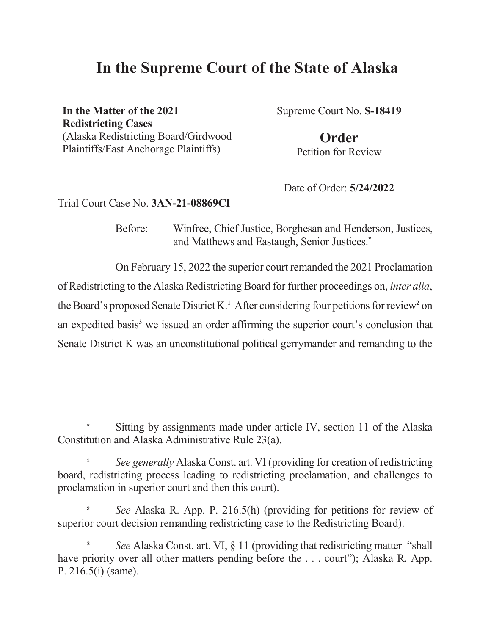# **In the Supreme Court of the State of Alaska**

**In the Matter of the 2021 Redistricting Cases** (Alaska Redistricting Board/Girdwood Plaintiffs/East Anchorage Plaintiffs)

Supreme Court No. **S-18419**

**Order** Petition for Review

Date of Order: **5/24/2022**

Trial Court Case No. **3AN-21-08869CI**

Before: Winfree, Chief Justice, Borghesan and Henderson, Justices, and Matthews and Eastaugh, Senior Justices. **\***

On February 15, 2022 the superior court remanded the 2021 Proclamation of Redistricting to the Alaska Redistricting Board for further proceedings on, *inter alia*, the Board's proposed Senate District K.<sup>1</sup> After considering four petitions for review<sup>2</sup> on an expedited basis **<sup>3</sup>** we issued an order affirming the superior court's conclusion that Senate District K was an unconstitutional political gerrymander and remanding to the

Sitting by assignments made under article IV, section 11 of the Alaska Constitution and Alaska Administrative Rule 23(a).

**<sup>1</sup>** *See generally* Alaska Const. art. VI (providing for creation of redistricting board, redistricting process leading to redistricting proclamation, and challenges to proclamation in superior court and then this court).

**<sup>2</sup>** *See* Alaska R. App. P. 216.5(h) (providing for petitions for review of superior court decision remanding redistricting case to the Redistricting Board).

**<sup>3</sup>** *See* Alaska Const. art. VI, § 11 (providing that redistricting matter "shall have priority over all other matters pending before the ... court"); Alaska R. App. P. 216.5(i) (same).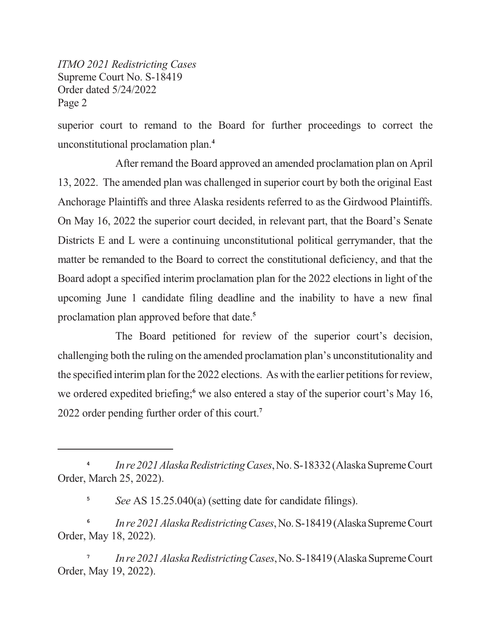superior court to remand to the Board for further proceedings to correct the unconstitutional proclamation plan. **4**

After remand the Board approved an amended proclamation plan on April 13, 2022. The amended plan was challenged in superior court by both the original East Anchorage Plaintiffs and three Alaska residents referred to as the Girdwood Plaintiffs. On May 16, 2022 the superior court decided, in relevant part, that the Board's Senate Districts E and L were a continuing unconstitutional political gerrymander, that the matter be remanded to the Board to correct the constitutional deficiency, and that the Board adopt a specified interim proclamation plan for the 2022 elections in light of the upcoming June 1 candidate filing deadline and the inability to have a new final proclamation plan approved before that date. **5**

The Board petitioned for review of the superior court's decision, challenging both the ruling on the amended proclamation plan's unconstitutionality and the specified interimplan for the 2022 elections. As with the earlier petitions for review, we ordered expedited briefing;<sup>6</sup> we also entered a stay of the superior court's May 16, 2022 order pending further order of this court. **7**

**<sup>5</sup>** *See* AS 15.25.040(a) (setting date for candidate filings).

**6** *In re 2021 Alaska Redistricting Cases, No. S-18419 (Alaska Supreme Court* Order, May 18, 2022).

**7** *In re 2021 Alaska Redistricting Cases, No. S-18419 (Alaska Supreme Court* Order, May 19, 2022).

**<sup>4</sup>** *In re 2021 Alaska Redistricting Cases, No. S-18332 (Alaska Supreme Court* Order, March 25, 2022).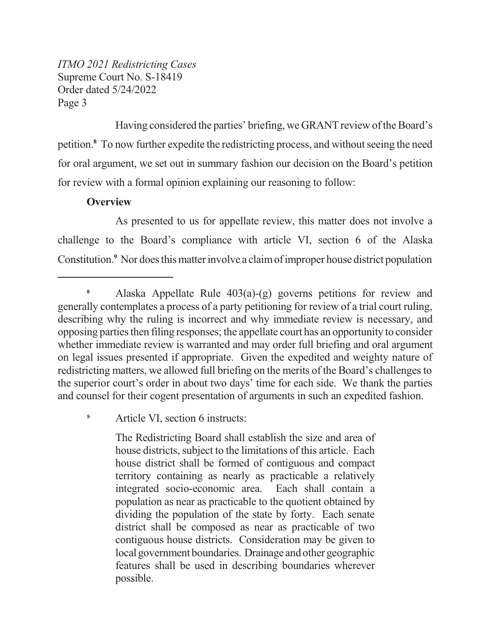Having considered the parties' briefing, we GRANT review of the Board's petition.<sup>8</sup> To now further expedite the redistricting process, and without seeing the need for oral argument, we set out in summary fashion our decision on the Board's petition for review with a formal opinion explaining our reasoning to follow:

#### **Overview**

As presented to us for appellate review, this matter does not involve a challenge to the Board's compliance with article VI, section 6 of the Alaska Constitution.<sup>9</sup> Nor does this matter involve a claim of improper house district population

<sup>9</sup> Article VI, section 6 instructs:

The Redistricting Board shall establish the size and area of house districts, subject to the limitations of this article. Each house district shall be formed of contiguous and compact territory containing as nearly as practicable a relatively integrated socio-economic area. Each shall contain a population as near as practicable to the quotient obtained by dividing the population of the state by forty. Each senate district shall be composed as near as practicable of two contiguous house districts. Consideration may be given to local government boundaries. Drainage and other geographic features shall be used in describing boundaries wherever possible.

**<sup>8</sup>** Alaska Appellate Rule 403(a)-(g) governs petitions for review and generally contemplates a process of a party petitioning for review of a trial court ruling, describing why the ruling is incorrect and why immediate review is necessary, and opposing partiesthen filing responses; the appellate court has an opportunity to consider whether immediate review is warranted and may order full briefing and oral argument on legal issues presented if appropriate. Given the expedited and weighty nature of redistricting matters, we allowed full briefing on the merits of the Board's challenges to the superior court's order in about two days' time for each side. We thank the parties and counsel for their cogent presentation of arguments in such an expedited fashion.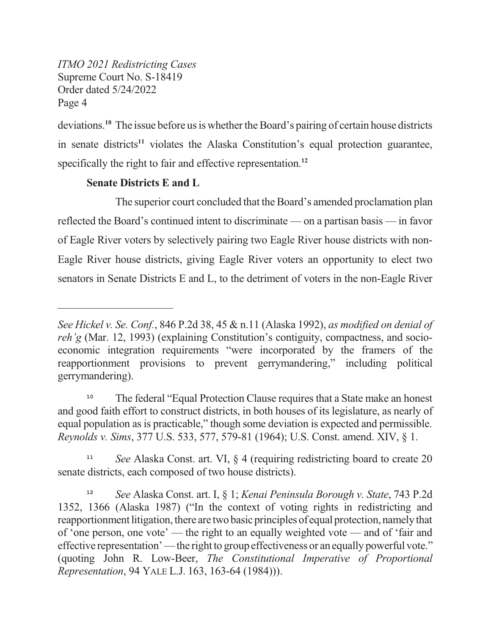deviations.<sup>10</sup> The issue before us is whether the Board's pairing of certain house districts in senate districts<sup>11</sup> violates the Alaska Constitution's equal protection guarantee, specifically the right to fair and effective representation. **12**

# **Senate Districts E and L**

The superior court concluded that the Board's amended proclamation plan reflected the Board's continued intent to discriminate — on a partisan basis — in favor of Eagle River voters by selectively pairing two Eagle River house districts with non-Eagle River house districts, giving Eagle River voters an opportunity to elect two senators in Senate Districts E and L, to the detriment of voters in the non-Eagle River

*See Hickel v. Se. Conf.*, 846 P.2d 38, 45 & n.11 (Alaska 1992), *as modified on denial of reh'g* (Mar. 12, 1993) (explaining Constitution's contiguity, compactness, and socioeconomic integration requirements "were incorporated by the framers of the reapportionment provisions to prevent gerrymandering," including political gerrymandering).

**<sup>10</sup>** The federal "Equal Protection Clause requires that a State make an honest and good faith effort to construct districts, in both houses of its legislature, as nearly of equal population as is practicable," though some deviation is expected and permissible. *Reynolds v. Sims*, 377 U.S. 533, 577, 579-81 (1964); U.S. Const. amend. XIV, § 1.

**<sup>11</sup>** *See* Alaska Const. art. VI, § 4 (requiring redistricting board to create 20 senate districts, each composed of two house districts).

**<sup>12</sup>** *See* Alaska Const. art. I, § 1; *Kenai Peninsula Borough v. State*, 743 P.2d 1352, 1366 (Alaska 1987) ("In the context of voting rights in redistricting and reapportionment litigation, there are two basic principles of equal protection, namely that of 'one person, one vote' — the right to an equally weighted vote — and of 'fair and effective representation'—the right to group effectiveness or an equally powerful vote." (quoting John R. Low-Beer, *The Constitutional Imperative of Proportional Representation*, 94 YALE L.J. 163, 163-64 (1984))).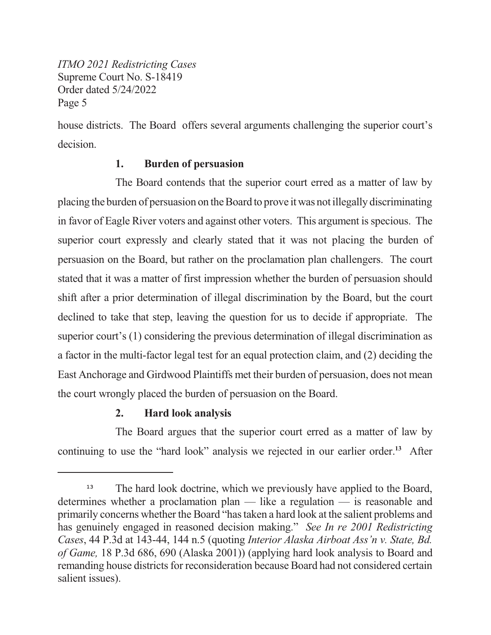house districts. The Board offers several arguments challenging the superior court's decision.

### **1. Burden of persuasion**

The Board contends that the superior court erred as a matter of law by placing the burden of persuasion on the Board to prove it was not illegally discriminating in favor of Eagle River voters and against other voters. This argument is specious. The superior court expressly and clearly stated that it was not placing the burden of persuasion on the Board, but rather on the proclamation plan challengers. The court stated that it was a matter of first impression whether the burden of persuasion should shift after a prior determination of illegal discrimination by the Board, but the court declined to take that step, leaving the question for us to decide if appropriate. The superior court's (1) considering the previous determination of illegal discrimination as a factor in the multi-factor legal test for an equal protection claim, and (2) deciding the East Anchorage and Girdwood Plaintiffs met their burden of persuasion, does not mean the court wrongly placed the burden of persuasion on the Board.

## **2. Hard look analysis**

The Board argues that the superior court erred as a matter of law by continuing to use the "hard look" analysis we rejected in our earlier order. **<sup>13</sup>** After

<sup>&</sup>lt;sup>13</sup> The hard look doctrine, which we previously have applied to the Board, determines whether a proclamation plan — like a regulation — is reasonable and primarily concerns whether the Board "hastaken a hard look at the salient problems and has genuinely engaged in reasoned decision making." *See In re 2001 Redistricting Cases*, 44 P.3d at 143-44, 144 n.5 (quoting *Interior Alaska Airboat Ass'n v. State, Bd. of Game,* 18 P.3d 686, 690 (Alaska 2001)) (applying hard look analysis to Board and remanding house districts for reconsideration because Board had not considered certain salient issues).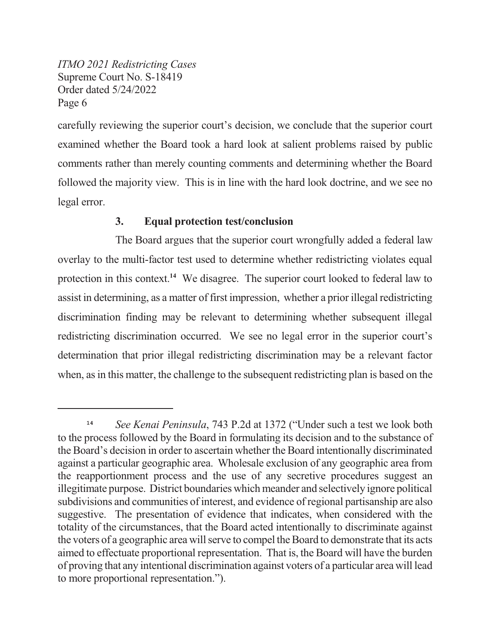carefully reviewing the superior court's decision, we conclude that the superior court examined whether the Board took a hard look at salient problems raised by public comments rather than merely counting comments and determining whether the Board followed the majority view. This is in line with the hard look doctrine, and we see no legal error.

### **3. Equal protection test/conclusion**

The Board argues that the superior court wrongfully added a federal law overlay to the multi-factor test used to determine whether redistricting violates equal protection in this context.<sup>14</sup> We disagree. The superior court looked to federal law to assist in determining, as a matter of first impression, whether a prior illegal redistricting discrimination finding may be relevant to determining whether subsequent illegal redistricting discrimination occurred. We see no legal error in the superior court's determination that prior illegal redistricting discrimination may be a relevant factor when, as in this matter, the challenge to the subsequent redistricting plan is based on the

**<sup>14</sup>** *See Kenai Peninsula*, 743 P.2d at 1372 ("Under such a test we look both to the process followed by the Board in formulating its decision and to the substance of the Board's decision in order to ascertain whether the Board intentionally discriminated against a particular geographic area. Wholesale exclusion of any geographic area from the reapportionment process and the use of any secretive procedures suggest an illegitimate purpose. District boundaries which meander and selectively ignore political subdivisions and communities of interest, and evidence of regional partisanship are also suggestive. The presentation of evidence that indicates, when considered with the totality of the circumstances, that the Board acted intentionally to discriminate against the voters of a geographic area will serve to compel the Board to demonstrate that its acts aimed to effectuate proportional representation. That is, the Board will have the burden of proving that any intentional discrimination against voters of a particular area will lead to more proportional representation.").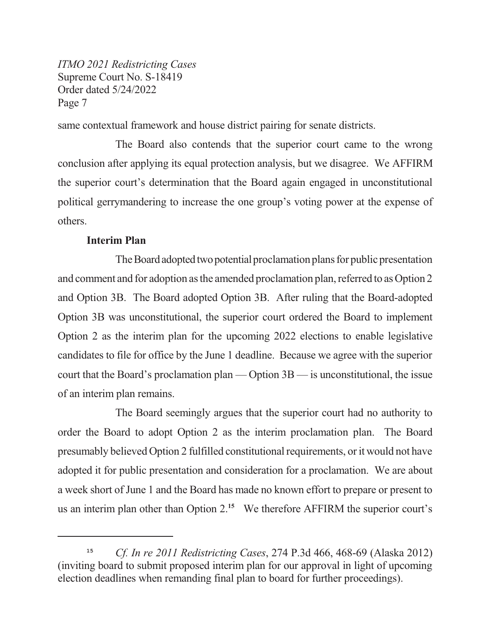same contextual framework and house district pairing for senate districts.

The Board also contends that the superior court came to the wrong conclusion after applying its equal protection analysis, but we disagree. We AFFIRM the superior court's determination that the Board again engaged in unconstitutional political gerrymandering to increase the one group's voting power at the expense of others.

#### **Interim Plan**

The Board adopted two potential proclamation plans for public presentation and comment and for adoption as the amended proclamation plan, referred to as Option 2 and Option 3B. The Board adopted Option 3B. After ruling that the Board-adopted Option 3B was unconstitutional, the superior court ordered the Board to implement Option 2 as the interim plan for the upcoming 2022 elections to enable legislative candidates to file for office by the June 1 deadline. Because we agree with the superior court that the Board's proclamation plan — Option 3B — is unconstitutional, the issue of an interim plan remains.

The Board seemingly argues that the superior court had no authority to order the Board to adopt Option 2 as the interim proclamation plan. The Board presumably believed Option 2 fulfilled constitutional requirements, or it would not have adopted it for public presentation and consideration for a proclamation. We are about a week short of June 1 and the Board has made no known effort to prepare or present to us an interim plan other than Option 2. **<sup>15</sup>** We therefore AFFIRM the superior court's

**<sup>15</sup>** *Cf. In re 2011 Redistricting Cases*, 274 P.3d 466, 468-69 (Alaska 2012) (inviting board to submit proposed interim plan for our approval in light of upcoming election deadlines when remanding final plan to board for further proceedings).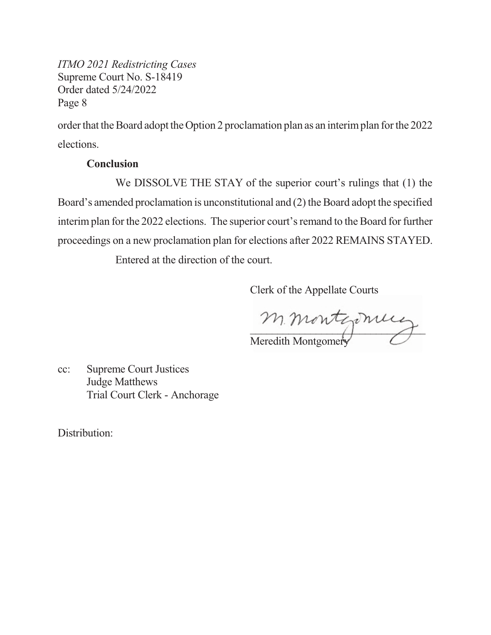order that the Board adopt the Option 2 proclamation plan as an interimplan for the 2022 elections.

#### **Conclusion**

We DISSOLVE THE STAY of the superior court's rulings that (1) the Board's amended proclamation is unconstitutional and  $(2)$  the Board adopt the specified interimplan for the 2022 elections. The superior court's remand to the Board for further proceedings on a new proclamation plan for elections after 2022 REMAINS STAYED.

Entered at the direction of the court.

Clerk of the Appellate Courts

 $\overline{1}$ Meredith Montgomery

cc: Supreme Court Justices Judge Matthews Trial Court Clerk - Anchorage

Distribution: